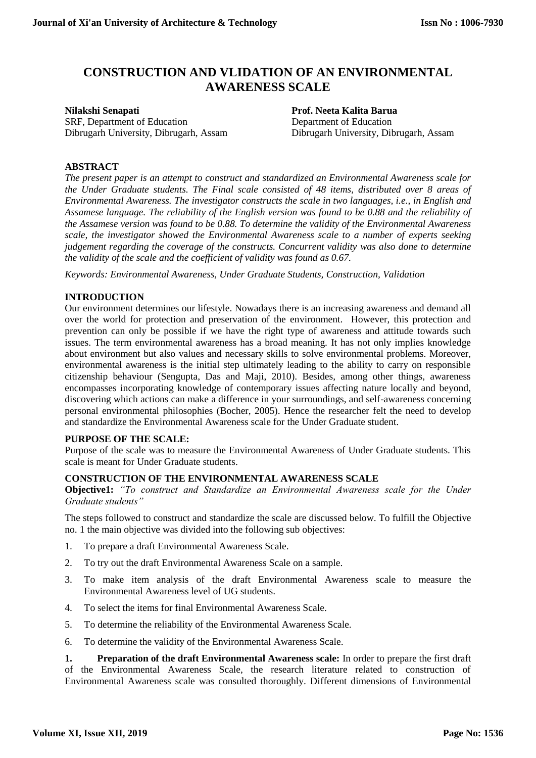# **CONSTRUCTION AND VLIDATION OF AN ENVIRONMENTAL AWARENESS SCALE**

**Nilakshi Senapati Prof. Neeta Kalita Barua** SRF, Department of Education Department of Education Dibrugarh University, Dibrugarh, Assam Dibrugarh University, Dibrugarh, Assam

## **ABSTRACT**

*The present paper is an attempt to construct and standardized an Environmental Awareness scale for the Under Graduate students. The Final scale consisted of 48 items, distributed over 8 areas of Environmental Awareness. The investigator constructs the scale in two languages, i.e., in English and Assamese language. The reliability of the English version was found to be 0.88 and the reliability of the Assamese version was found to be 0.88. To determine the validity of the Environmental Awareness scale, the investigator showed the Environmental Awareness scale to a number of experts seeking judgement regarding the coverage of the constructs. Concurrent validity was also done to determine the validity of the scale and the coefficient of validity was found as 0.67.*

*Keywords: Environmental Awareness, Under Graduate Students, Construction, Validation*

### **INTRODUCTION**

Our environment determines our lifestyle. Nowadays there is an increasing awareness and demand all over the world for protection and preservation of the environment. However, this protection and prevention can only be possible if we have the right type of awareness and attitude towards such issues. The term environmental awareness has a broad meaning. It has not only implies knowledge about environment but also values and necessary skills to solve environmental problems. Moreover, environmental awareness is the initial step ultimately leading to the ability to carry on responsible citizenship behaviour (Sengupta, Das and Maji, 2010). Besides, among other things, awareness encompasses incorporating knowledge of contemporary issues affecting nature locally and beyond, discovering which actions can make a difference in your surroundings, and self-awareness concerning personal environmental philosophies (Bocher, 2005). Hence the researcher felt the need to develop and standardize the Environmental Awareness scale for the Under Graduate student.

#### **PURPOSE OF THE SCALE:**

Purpose of the scale was to measure the Environmental Awareness of Under Graduate students. This scale is meant for Under Graduate students.

#### **CONSTRUCTION OF THE ENVIRONMENTAL AWARENESS SCALE**

**Objective1:** *"To construct and Standardize an Environmental Awareness scale for the Under Graduate students"*

The steps followed to construct and standardize the scale are discussed below. To fulfill the Objective no. 1 the main objective was divided into the following sub objectives:

- 1. To prepare a draft Environmental Awareness Scale.
- 2. To try out the draft Environmental Awareness Scale on a sample.
- 3. To make item analysis of the draft Environmental Awareness scale to measure the Environmental Awareness level of UG students.
- 4. To select the items for final Environmental Awareness Scale.
- 5. To determine the reliability of the Environmental Awareness Scale.
- 6. To determine the validity of the Environmental Awareness Scale.

**1. Preparation of the draft Environmental Awareness scale:** In order to prepare the first draft of the Environmental Awareness Scale, the research literature related to construction of Environmental Awareness scale was consulted thoroughly. Different dimensions of Environmental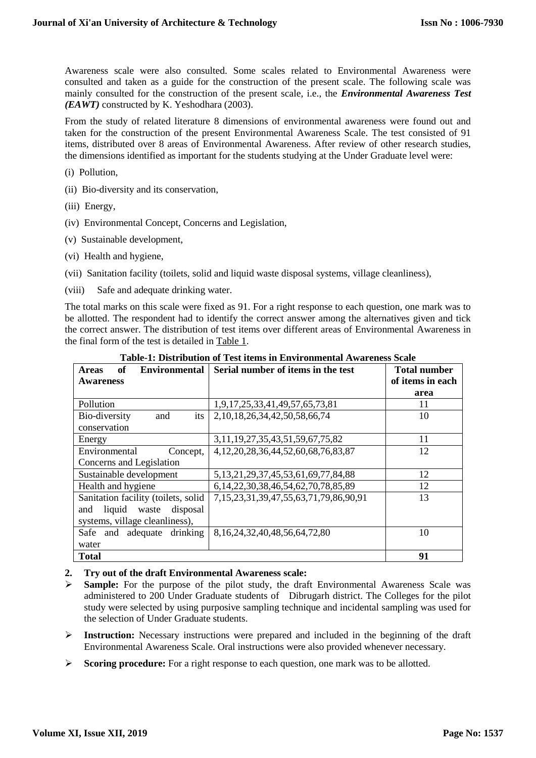Awareness scale were also consulted. Some scales related to Environmental Awareness were consulted and taken as a guide for the construction of the present scale. The following scale was mainly consulted for the construction of the present scale, i.e., the *Environmental Awareness Test (EAWT)* constructed by K. Yeshodhara (2003).

From the study of related literature 8 dimensions of environmental awareness were found out and taken for the construction of the present Environmental Awareness Scale. The test consisted of 91 items, distributed over 8 areas of Environmental Awareness. After review of other research studies, the dimensions identified as important for the students studying at the Under Graduate level were:

- (i) Pollution,
- (ii) Bio-diversity and its conservation,
- (iii) Energy,
- (iv) Environmental Concept, Concerns and Legislation,
- (v) Sustainable development,
- (vi) Health and hygiene,
- (vii) Sanitation facility (toilets, solid and liquid waste disposal systems, village cleanliness),
- (viii) Safe and adequate drinking water.

The total marks on this scale were fixed as 91. For a right response to each question, one mark was to be allotted. The respondent had to identify the correct answer among the alternatives given and tick the correct answer. The distribution of test items over different areas of Environmental Awareness in the final form of the test is detailed in Table 1.

| of<br><b>Environmental</b><br><b>Areas</b> | Serial number of items in the test            | Total number     |
|--------------------------------------------|-----------------------------------------------|------------------|
| <b>Awareness</b>                           |                                               | of items in each |
|                                            |                                               | area             |
| Pollution                                  | 1,9,17,25,33,41,49,57,65,73,81                | 11               |
| its<br>Bio-diversity<br>and                | 2, 10, 18, 26, 34, 42, 50, 58, 66, 74         | 10               |
| conservation                               |                                               |                  |
| Energy                                     | 3, 11, 19, 27, 35, 43, 51, 59, 67, 75, 82     | 11               |
| Environmental<br>Concept,                  | 4, 12, 20, 28, 36, 44, 52, 60, 68, 76, 83, 87 | 12               |
| Concerns and Legislation                   |                                               |                  |
| Sustainable development                    | 5, 13, 21, 29, 37, 45, 53, 61, 69, 77, 84, 88 | 12               |
| Health and hygiene                         | 6, 14, 22, 30, 38, 46, 54, 62, 70, 78, 85, 89 | 12               |
| Sanitation facility (toilets, solid        | 7,15,23,31,39,47,55,63,71,79,86,90,91         | 13               |
| liquid<br>disposal<br>and<br>waste         |                                               |                  |
| systems, village cleanliness),             |                                               |                  |
| Safe and adequate drinking                 | 8, 16, 24, 32, 40, 48, 56, 64, 72, 80         | 10               |
| water                                      |                                               |                  |
| <b>Total</b>                               |                                               | 91               |

**Table-1: Distribution of Test items in Environmental Awareness Scale**

#### **2. Try out of the draft Environmental Awareness scale:**

- **Sample:** For the purpose of the pilot study, the draft Environmental Awareness Scale was administered to 200 Under Graduate students of Dibrugarh district. The Colleges for the pilot study were selected by using purposive sampling technique and incidental sampling was used for the selection of Under Graduate students.
- **Instruction:** Necessary instructions were prepared and included in the beginning of the draft Environmental Awareness Scale. Oral instructions were also provided whenever necessary.
- Scoring procedure: For a right response to each question, one mark was to be allotted.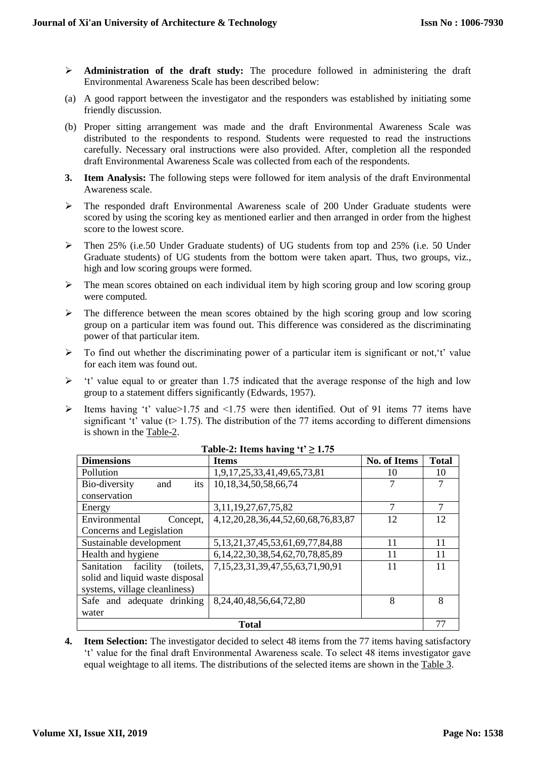- **Administration of the draft study:** The procedure followed in administering the draft Environmental Awareness Scale has been described below:
- (a) A good rapport between the investigator and the responders was established by initiating some friendly discussion.
- (b) Proper sitting arrangement was made and the draft Environmental Awareness Scale was distributed to the respondents to respond. Students were requested to read the instructions carefully. Necessary oral instructions were also provided. After, completion all the responded draft Environmental Awareness Scale was collected from each of the respondents.
- **3. Item Analysis:** The following steps were followed for item analysis of the draft Environmental Awareness scale.
- The responded draft Environmental Awareness scale of 200 Under Graduate students were scored by using the scoring key as mentioned earlier and then arranged in order from the highest score to the lowest score.
- Then 25% (i.e.50 Under Graduate students) of UG students from top and 25% (i.e. 50 Under Graduate students) of UG students from the bottom were taken apart. Thus, two groups, viz., high and low scoring groups were formed.
- $\triangleright$  The mean scores obtained on each individual item by high scoring group and low scoring group were computed.
- $\triangleright$  The difference between the mean scores obtained by the high scoring group and low scoring group on a particular item was found out. This difference was considered as the discriminating power of that particular item.
- $\triangleright$  To find out whether the discriminating power of a particular item is significant or not, 't' value for each item was found out.
- $\triangleright$  't' value equal to or greater than 1.75 indicated that the average response of the high and low group to a statement differs significantly (Edwards, 1957).
- Items having 't' value > 1.75 and <1.75 were then identified. Out of 91 items 77 items have significant 't' value ( $t$  = 1.75). The distribution of the 77 items according to different dimensions is shown in the Table-2.

| <b>Dimensions</b>                   | <b>Items</b>                                  | <b>No. of Items</b> | <b>Total</b> |
|-------------------------------------|-----------------------------------------------|---------------------|--------------|
| Pollution                           | 1,9,17,25,33,41,49,65,73,81                   | 10                  | 10           |
| its<br>Bio-diversity<br>and         | 10, 18, 34, 50, 58, 66, 74                    |                     |              |
| conservation                        |                                               |                     |              |
| Energy                              | 3, 11, 19, 27, 67, 75, 82                     | 7                   | 7            |
| Environmental<br>Concept,           | 4, 12, 20, 28, 36, 44, 52, 60, 68, 76, 83, 87 | 12                  | 12           |
| Concerns and Legislation            |                                               |                     |              |
| Sustainable development             | 5, 13, 21, 37, 45, 53, 61, 69, 77, 84, 88     | 11                  | 11           |
| Health and hygiene                  | 6, 14, 22, 30, 38, 54, 62, 70, 78, 85, 89     | 11                  | 11           |
| facility<br>Sanitation<br>(toilets, | 7,15,23,31,39,47,55,63,71,90,91               | 11                  | 11           |
| solid and liquid waste disposal     |                                               |                     |              |
| systems, village cleanliness)       |                                               |                     |              |
| Safe and adequate drinking          | 8, 24, 40, 48, 56, 64, 72, 80                 | 8                   | 8            |
| water                               |                                               |                     |              |
| <b>Total</b>                        |                                               |                     | 77           |

**Table-2: Items having 't' ≥ 1.75**

**4. Item Selection:** The investigator decided to select 48 items from the 77 items having satisfactory 't' value for the final draft Environmental Awareness scale. To select 48 items investigator gave equal weightage to all items. The distributions of the selected items are shown in the Table 3.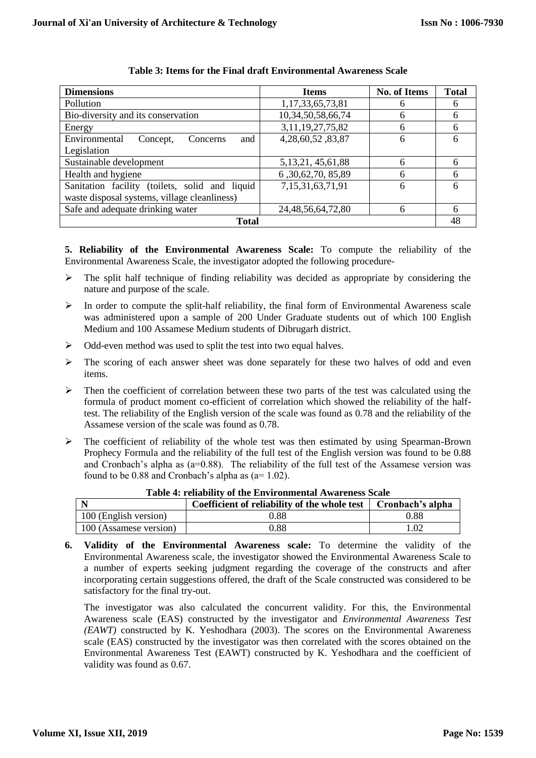| <b>Dimensions</b>                              | <b>Items</b>           | <b>No. of Items</b> | <b>Total</b> |
|------------------------------------------------|------------------------|---------------------|--------------|
| Pollution                                      | 1,17,33,65,73,81       | 6                   | 6            |
| Bio-diversity and its conservation             | 10,34,50,58,66,74      | 6                   | 6            |
| Energy                                         | 3, 11, 19, 27, 75, 82  | 6                   | 6            |
| and<br>Environmental<br>Concerns<br>Concept,   | 4,28,60,52,83,87       | 6                   | 6            |
| Legislation                                    |                        |                     |              |
| Sustainable development                        | 5, 13, 21, 45, 61, 88  | 6                   | 6            |
| Health and hygiene                             | 6,30,62,70,85,89       | 6                   | 6            |
| Sanitation facility (toilets, solid and liquid | 7,15,31,63,71,91       | 6                   | 6            |
| waste disposal systems, village cleanliness)   |                        |                     |              |
| Safe and adequate drinking water               | 24, 48, 56, 64, 72, 80 | 6                   | 6            |
| Total                                          |                        |                     |              |

#### **Table 3: Items for the Final draft Environmental Awareness Scale**

**5. Reliability of the Environmental Awareness Scale:** To compute the reliability of the Environmental Awareness Scale, the investigator adopted the following procedure-

- $\triangleright$  The split half technique of finding reliability was decided as appropriate by considering the nature and purpose of the scale.
- $\triangleright$  In order to compute the split-half reliability, the final form of Environmental Awareness scale was administered upon a sample of 200 Under Graduate students out of which 100 English Medium and 100 Assamese Medium students of Dibrugarh district.
- Odd-even method was used to split the test into two equal halves.
- The scoring of each answer sheet was done separately for these two halves of odd and even items.
- $\triangleright$  Then the coefficient of correlation between these two parts of the test was calculated using the formula of product moment co-efficient of correlation which showed the reliability of the halftest. The reliability of the English version of the scale was found as 0.78 and the reliability of the Assamese version of the scale was found as 0.78.
- $\triangleright$  The coefficient of reliability of the whole test was then estimated by using Spearman-Brown Prophecy Formula and the reliability of the full test of the English version was found to be 0.88 and Cronbach's alpha as (a=0.88). The reliability of the full test of the Assamese version was found to be  $0.88$  and Cronbach's alpha as ( $a=1.02$ ).

|                        | Coefficient of reliability of the whole test | Cronbach's alpha |
|------------------------|----------------------------------------------|------------------|
| 100 (English version)  | 0.88                                         | 0.88             |
| 100 (Assamese version) | 0.88                                         |                  |

- **Table 4: reliability of the Environmental Awareness Scale**
- **6. Validity of the Environmental Awareness scale:** To determine the validity of the Environmental Awareness scale, the investigator showed the Environmental Awareness Scale to a number of experts seeking judgment regarding the coverage of the constructs and after incorporating certain suggestions offered, the draft of the Scale constructed was considered to be satisfactory for the final try-out.

The investigator was also calculated the concurrent validity. For this, the Environmental Awareness scale (EAS) constructed by the investigator and *Environmental Awareness Test (EAWT)* constructed by K. Yeshodhara (2003). The scores on the Environmental Awareness scale (EAS) constructed by the investigator was then correlated with the scores obtained on the Environmental Awareness Test (EAWT) constructed by K. Yeshodhara and the coefficient of validity was found as 0.67.